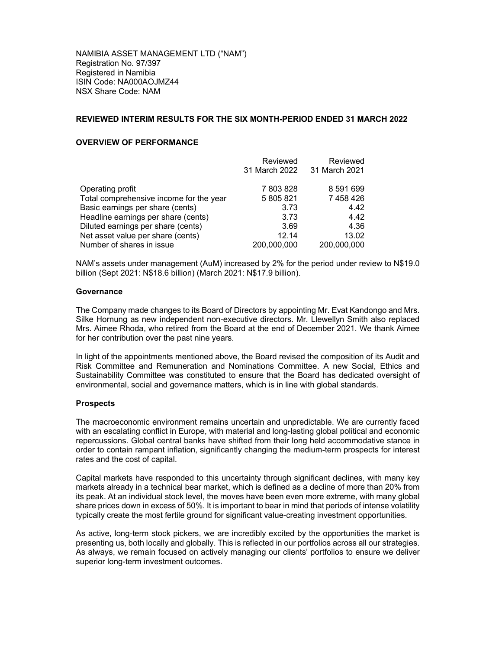NAMIBIA ASSET MANAGEMENT LTD ("NAM") Registration No. 97/397 Registered in Namibia ISIN Code: NA000AOJMZ44 NSX Share Code: NAM

### REVIEWED INTERIM RESULTS FOR THE SIX MONTH-PERIOD ENDED 31 MARCH 2022

## OVERVIEW OF PERFORMANCE

|                                         | Reviewed      | Reviewed      |
|-----------------------------------------|---------------|---------------|
|                                         | 31 March 2022 | 31 March 2021 |
| Operating profit                        | 7803828       | 8 591 699     |
| Total comprehensive income for the year | 5 805 821     | 7 458 426     |
| Basic earnings per share (cents)        | 3.73          | 4.42          |
| Headline earnings per share (cents)     | 3.73          | 4.42          |
| Diluted earnings per share (cents)      | 3.69          | 4.36          |
| Net asset value per share (cents)       | 12.14         | 13.02         |
| Number of shares in issue               | 200,000,000   | 200,000,000   |

NAM's assets under management (AuM) increased by 2% for the period under review to N\$19.0 billion (Sept 2021: N\$18.6 billion) (March 2021: N\$17.9 billion).

#### **Governance**

The Company made changes to its Board of Directors by appointing Mr. Evat Kandongo and Mrs. Silke Hornung as new independent non-executive directors. Mr. Llewellyn Smith also replaced Mrs. Aimee Rhoda, who retired from the Board at the end of December 2021. We thank Aimee for her contribution over the past nine years.

In light of the appointments mentioned above, the Board revised the composition of its Audit and Risk Committee and Remuneration and Nominations Committee. A new Social, Ethics and Sustainability Committee was constituted to ensure that the Board has dedicated oversight of environmental, social and governance matters, which is in line with global standards.

#### Prospects

The macroeconomic environment remains uncertain and unpredictable. We are currently faced with an escalating conflict in Europe, with material and long-lasting global political and economic repercussions. Global central banks have shifted from their long held accommodative stance in order to contain rampant inflation, significantly changing the medium-term prospects for interest rates and the cost of capital.

Capital markets have responded to this uncertainty through significant declines, with many key markets already in a technical bear market, which is defined as a decline of more than 20% from its peak. At an individual stock level, the moves have been even more extreme, with many global share prices down in excess of 50%. It is important to bear in mind that periods of intense volatility typically create the most fertile ground for significant value-creating investment opportunities.

As active, long-term stock pickers, we are incredibly excited by the opportunities the market is presenting us, both locally and globally. This is reflected in our portfolios across all our strategies. As always, we remain focused on actively managing our clients' portfolios to ensure we deliver superior long-term investment outcomes.